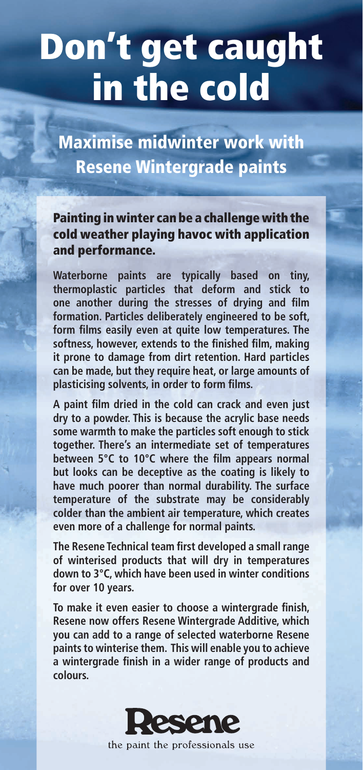## Don't get caught in the cold

Maximise midwinter work with Resene Wintergrade paints

Painting in winter can be a challenge with the cold weather playing havoc with application and performance.

**Waterborne paints are typically based on tiny, thermoplastic particles that deform and stick to one another during the stresses of drying and film formation. Particles deliberately engineered to be soft, form films easily even at quite low temperatures. The softness, however, extends to the finished film, making it prone to damage from dirt retention. Hard particles can be made, but they require heat, or large amounts of plasticising solvents, in order to form films.**

**A paint film dried in the cold can crack and even just dry to a powder. This is because the acrylic base needs some warmth to make the particles soft enough to stick together. There's an intermediate set of temperatures between 5°C to 10°C where the film appears normal but looks can be deceptive as the coating is likely to have much poorer than normal durability. The surface temperature of the substrate may be considerably colder than the ambient air temperature, which creates even more of a challenge for normal paints.**

**The Resene Technical team first developed a small range of winterised products that will dry in temperatures down to 3°C, which have been used in winter conditions for over 10 years.**

**To make it even easier to choose a wintergrade finish, Resene now offers Resene Wintergrade Additive, which you can add to a range of selected waterborne Resene paints to winterise them. This will enable you to achieve a wintergrade finish in a wider range of products and colours.**



the paint the professionals use